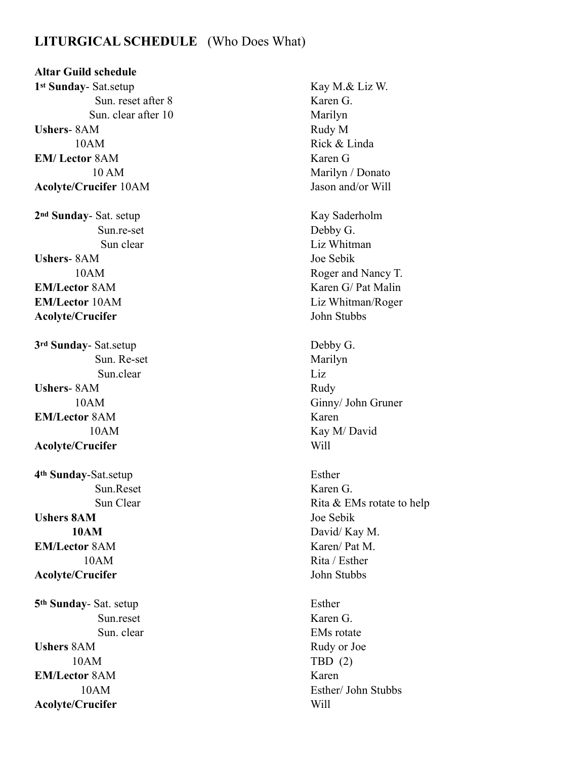## **LITURGICAL SCHEDULE** (Who Does What)

**Altar Guild schedule 1st Sunday-** Sat.setup Kay M.& Liz W. Sun. reset after 8 Karen G. Sun. clear after 10 Marilyn **Ushers**- 8AM Rudy M 10AM Rick & Linda **EM/ Lector** 8AM Karen G **Acolyte/Crucifer** 10AM Jason and/or Will

**Ushers**- 8AM Joe Sebik **EM/Lector** 8AM Karen G/ Pat Malin **EM/Lector** 10AM Liz Whitman/Roger **Acolyte/Crucifer** John Stubbs

**3rd Sunday-** Sat.setup Debby G. Sun. Re-set Marilyn Sun.clear Liz Ushers- 8AM Rudy **EM/Lector** 8AM Karen **Acolyte/Crucifer** Will

**4th Sunday**-Sat.setup Esther Sun.Reset Karen G. **Ushers 8AM** Joe Sebik **EM/Lector** 8AM Karen/ Pat M. **Acolyte/Crucifer** John Stubbs **5th Sunday-** Sat. setup Esther

**Ushers** 8AM Rudy or Joe 10AM TBD (2) **EM/Lector** 8AM Karen **Acolyte/Crucifer** Will

 10 AM Marilyn / Donato **2nd Sunday- Sat. setup Kay Saderholm**  Sun.re-set Debby G. Sun clear Liz Whitman 10AM Roger and Nancy T. 10AM Ginny/ John Gruner 10AM Kay M/ David Sun Clear Rita & EMs rotate to help **10AM** David/ Kay M. 10AM Rita / Esther Sun.reset Karen G. Sun. clear EMs rotate 10AM Esther/ John Stubbs